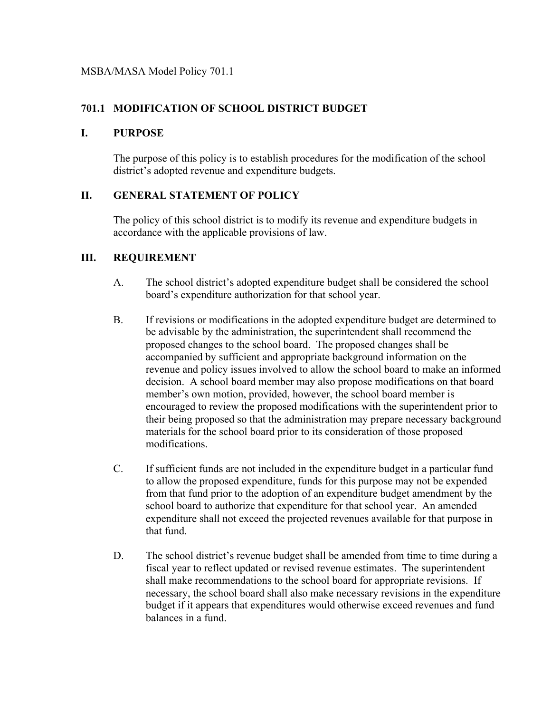## **701.1 MODIFICATION OF SCHOOL DISTRICT BUDGET**

## **I. PURPOSE**

The purpose of this policy is to establish procedures for the modification of the school district's adopted revenue and expenditure budgets.

## **II. GENERAL STATEMENT OF POLICY**

The policy of this school district is to modify its revenue and expenditure budgets in accordance with the applicable provisions of law.

## **III. REQUIREMENT**

- A. The school district's adopted expenditure budget shall be considered the school board's expenditure authorization for that school year.
- B. If revisions or modifications in the adopted expenditure budget are determined to be advisable by the administration, the superintendent shall recommend the proposed changes to the school board. The proposed changes shall be accompanied by sufficient and appropriate background information on the revenue and policy issues involved to allow the school board to make an informed decision. A school board member may also propose modifications on that board member's own motion, provided, however, the school board member is encouraged to review the proposed modifications with the superintendent prior to their being proposed so that the administration may prepare necessary background materials for the school board prior to its consideration of those proposed modifications.
- C. If sufficient funds are not included in the expenditure budget in a particular fund to allow the proposed expenditure, funds for this purpose may not be expended from that fund prior to the adoption of an expenditure budget amendment by the school board to authorize that expenditure for that school year. An amended expenditure shall not exceed the projected revenues available for that purpose in that fund.
- D. The school district's revenue budget shall be amended from time to time during a fiscal year to reflect updated or revised revenue estimates. The superintendent shall make recommendations to the school board for appropriate revisions. If necessary, the school board shall also make necessary revisions in the expenditure budget if it appears that expenditures would otherwise exceed revenues and fund balances in a fund.